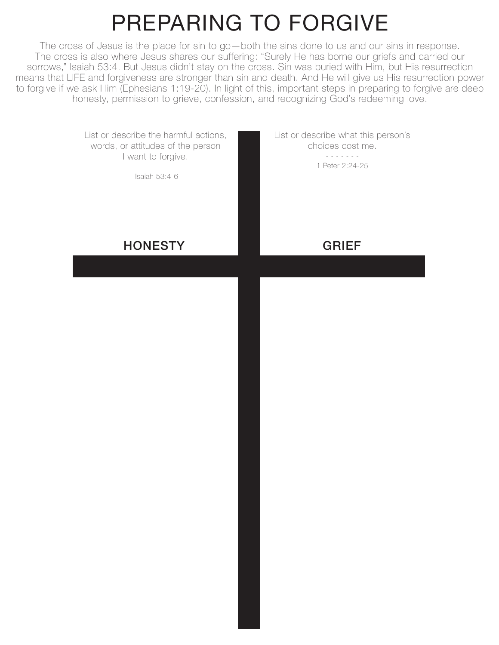## PREPARING TO FORGIVE

The cross of Jesus is the place for sin to go—both the sins done to us and our sins in response. The cross is also where Jesus shares our suffering: "Surely He has borne our griefs and carried our sorrows," Isaiah 53:4. But Jesus didn't stay on the cross. Sin was buried with Him, but His resurrection means that LIFE and forgiveness are stronger than sin and death. And He will give us His resurrection power to forgive if we ask Him (Ephesians 1:19-20). In light of this, important steps in preparing to forgive are deep honesty, permission to grieve, confession, and recognizing God's redeeming love.

> List or describe the harmful actions, words, or attitudes of the person I want to forgive. - - - - - - - Isaiah 53:4-6 **HONESTY** List or describe what this person's choices cost me. - - - - - - - 1 Peter 2:24-25 GRIEF